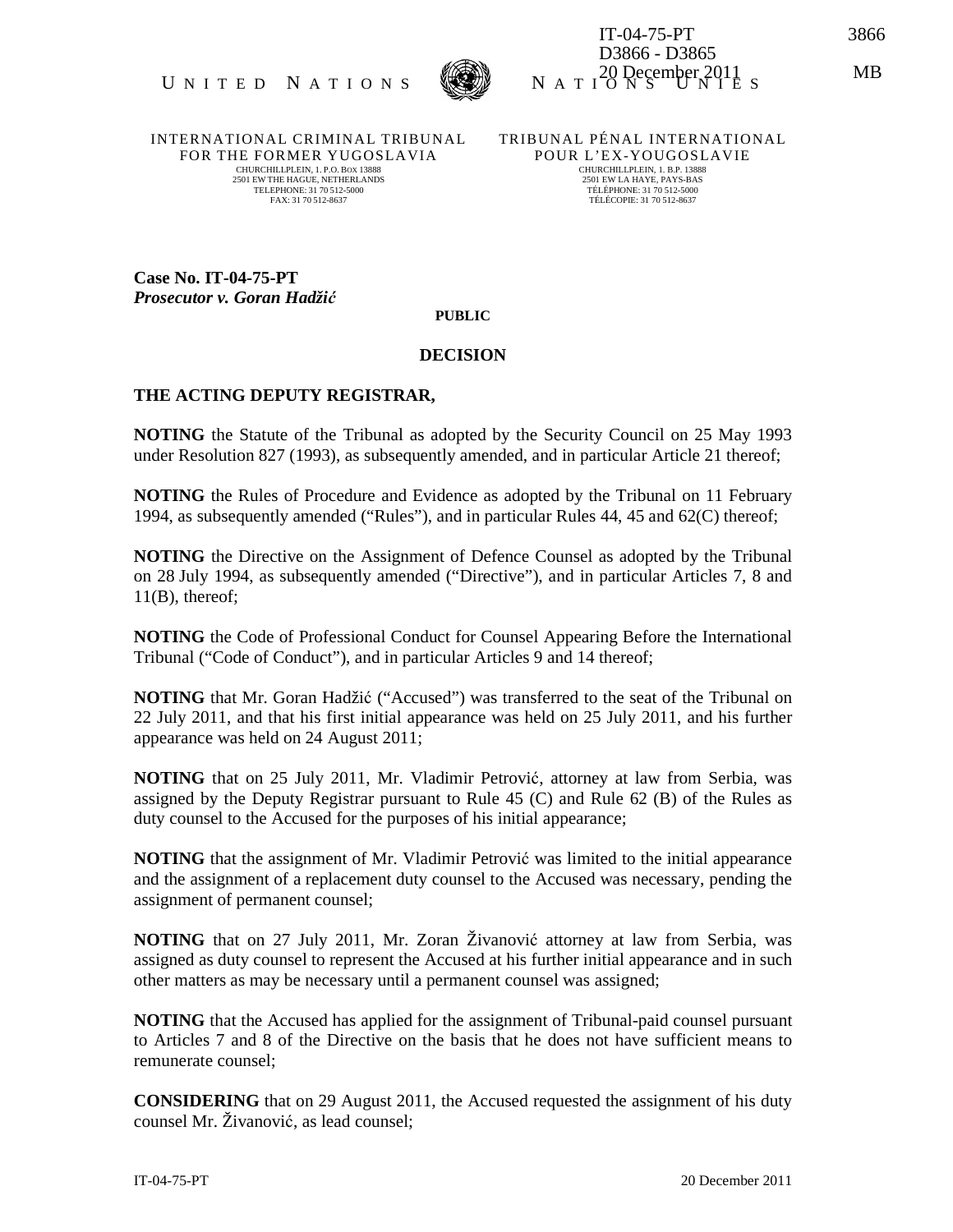



IT-04-75-PT 3866 D3866 - D3865  $N_A T I^2_0$  December 2011 s

INTERNATIONAL CRIMINAL TRIBUNAL FOR THE FORMER YUGOSLAVIA CHURCHILLPLEIN, 1. P.O. BOX 13888 2501 EW THE HAGUE, NETHERLANDS TELEPHONE: 31 70 512-5000 FAX: 31 70 512-8637

TRIBUNAL PÉNAL INTERNATIONAL POUR L'EX-YOUGOSLAVIE CHURCHILLPLEIN, 1. B.P. 13888 2501 EW LA HAYE, PAYS-BAS TÉLÉPHONE: 31 70 512-5000 TÉLÉCOPIE: 31 70 512-8637

**Case No. IT-04-75-PT**  *Prosecutor v. Goran Hadži*ć

## **PUBLIC**

## **DECISION**

## **THE ACTING DEPUTY REGISTRAR,**

**NOTING** the Statute of the Tribunal as adopted by the Security Council on 25 May 1993 under Resolution 827 (1993), as subsequently amended, and in particular Article 21 thereof;

**NOTING** the Rules of Procedure and Evidence as adopted by the Tribunal on 11 February 1994, as subsequently amended ("Rules"), and in particular Rules 44, 45 and 62(C) thereof;

**NOTING** the Directive on the Assignment of Defence Counsel as adopted by the Tribunal on 28 July 1994, as subsequently amended ("Directive"), and in particular Articles 7, 8 and 11(B), thereof;

**NOTING** the Code of Professional Conduct for Counsel Appearing Before the International Tribunal ("Code of Conduct"), and in particular Articles 9 and 14 thereof;

**NOTING** that Mr. Goran Hadžić ("Accused") was transferred to the seat of the Tribunal on 22 July 2011, and that his first initial appearance was held on 25 July 2011, and his further appearance was held on 24 August 2011;

**NOTING** that on 25 July 2011, Mr. Vladimir Petrović, attorney at law from Serbia, was assigned by the Deputy Registrar pursuant to Rule 45 (C) and Rule 62 (B) of the Rules as duty counsel to the Accused for the purposes of his initial appearance;

**NOTING** that the assignment of Mr. Vladimir Petrović was limited to the initial appearance and the assignment of a replacement duty counsel to the Accused was necessary, pending the assignment of permanent counsel;

**NOTING** that on 27 July 2011, Mr. Zoran Živanović attorney at law from Serbia, was assigned as duty counsel to represent the Accused at his further initial appearance and in such other matters as may be necessary until a permanent counsel was assigned;

**NOTING** that the Accused has applied for the assignment of Tribunal-paid counsel pursuant to Articles 7 and 8 of the Directive on the basis that he does not have sufficient means to remunerate counsel;

**CONSIDERING** that on 29 August 2011, the Accused requested the assignment of his duty counsel Mr. Živanović, as lead counsel;